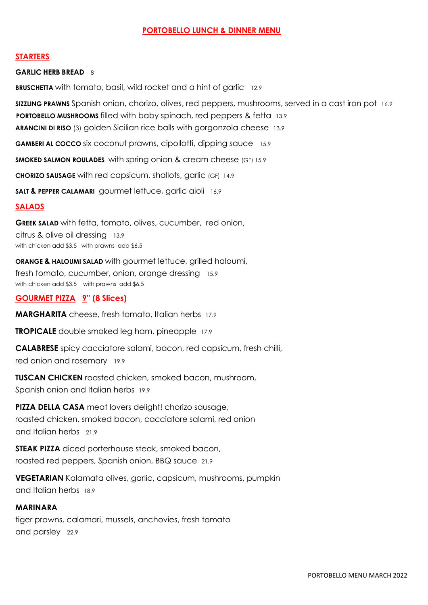### **PORTOBELLO LUNCH & DINNER MENU**

#### **STARTERS**

#### **GARLIC HERB BREAD** 8

**BRUSCHETTA** with tomato, basil, wild rocket and a hint of garlic 12.9

**SIZZLING PRAWNS** Spanish onion, chorizo, olives, red peppers, mushrooms, served in a cast iron pot 16.9 **PORTOBELLO MUSHROOMS** filled with baby spinach, red peppers & fetta 13.9 **ARANCINI DI RISO** (3) golden Sicilian rice balls with gorgonzola cheese 13.9

**GAMBERI AL COCCO** six coconut prawns, cipollotti, dipping sauce 15.9

**SMOKED SALMON ROULADES** with spring onion & cream cheese (GF) 15.9

**CHORIZO SAUSAGE** with red capsicum, shallots, garlic (GF) 14.9

**SALT & PEPPER CALAMARI** gourmet lettuce, garlic aioli 16.9

#### **SALADS**

**GREEK SALAD** with fetta, tomato, olives, cucumber, red onion, citrus & olive oil dressing 13.9 with chicken add \$3.5 with prawns add \$6.5

**ORANGE & HALOUMI SALAD** with gourmet lettuce, grilled haloumi, fresh tomato, cucumber, onion, orange dressing 15.9 with chicken add \$3.5 with prawns add \$6.5

#### **GOURMET PIZZA 9" (8 Slices)**

**MARGHARITA** cheese, fresh tomato, Italian herbs 17.9

**TROPICALE** double smoked leg ham, pineapple 17.9

**CALABRESE** spicy cacciatore salami, bacon, red capsicum, fresh chilli, red onion and rosemary 19.9

**TUSCAN CHICKEN** roasted chicken, smoked bacon, mushroom, Spanish onion and Italian herbs 19.9

**PIZZA DELLA CASA** meat lovers delight! chorizo sausage, roasted chicken, smoked bacon, cacciatore salami, red onion and Italian herbs 21.9

**STEAK PIZZA** diced porterhouse steak, smoked bacon, roasted red peppers, Spanish onion, BBQ sauce 21.9

**VEGETARIAN** Kalamata olives, garlic, capsicum, mushrooms, pumpkin and Italian herbs 18.9

# **MARINARA**

tiger prawns, calamari, mussels, anchovies, fresh tomato and parsley 22.9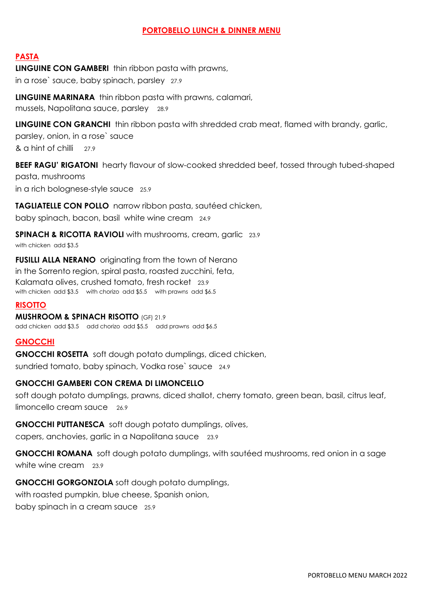## **PORTOBELLO LUNCH & DINNER MENU**

## **PASTA**

**LINGUINE CON GAMBERI** thin ribbon pasta with prawns, in a rose` sauce, baby spinach, parsley 27.9

**LINGUINE MARINARA** thin ribbon pasta with prawns, calamari, mussels, Napolitana sauce, parsley 28.9

**LINGUINE CON GRANCHI** thin ribbon pasta with shredded crab meat, flamed with brandy, garlic,

parsley, onion, in a rose` sauce & a hint of chilli 27.9

**BEEF RAGU' RIGATONI** hearty flavour of slow-cooked shredded beef, tossed through tubed-shaped pasta, mushrooms in a rich bolognese-style sauce 25.9

**TAGLIATELLE CON POLLO** narrow ribbon pasta, sautéed chicken,

baby spinach, bacon, basil white wine cream 24.9

**SPINACH & RICOTTA RAVIOLI** with mushrooms, cream, garlic 23.9 with chicken add \$3.5

**FUSILLI ALLA NERANO** originating from the town of Nerano in the Sorrento region, spiral pasta, roasted zucchini, feta, Kalamata olives, crushed tomato, fresh rocket 23.9 with chicken add \$3.5 with chorizo add \$5.5 with prawns add \$6.5

#### **RISOTTO**

**MUSHROOM & SPINACH RISOTTO** (GF) 21.9 add chicken add \$3.5 add chorizo add \$5.5 add prawns add \$6.5

### **GNOCCHI**

**GNOCCHI ROSETTA** soft dough potato dumplings, diced chicken, sundried tomato, baby spinach, Vodka rose` sauce 24.9

### **GNOCCHI GAMBERI CON CREMA DI LIMONCELLO**

soft dough potato dumplings, prawns, diced shallot, cherry tomato, green bean, basil, citrus leaf, limoncello cream sauce 26.9

**GNOCCHI PUTTANESCA** soft dough potato dumplings, olives,

capers, anchovies, garlic in a Napolitana sauce 23.9

**GNOCCHI ROMANA** soft dough potato dumplings, with sautéed mushrooms, red onion in a sage white wine cream 23.9

**GNOCCHI GORGONZOLA** soft dough potato dumplings, with roasted pumpkin, blue cheese, Spanish onion, baby spinach in a cream sauce 25.9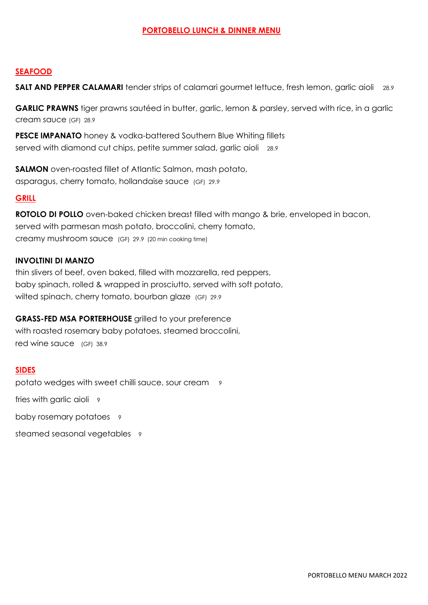## **PORTOBELLO LUNCH & DINNER MENU**

## **SEAFOOD**

**SALT AND PEPPER CALAMARI** tender strips of calamari gourmet lettuce, fresh lemon, garlic aioli 28.9

**GARLIC PRAWNS** tiger prawns sautéed in butter, garlic, lemon & parsley, served with rice, in a garlic cream sauce (GF) 28.9

**PESCE IMPANATO** honey & vodka-battered Southern Blue Whiting fillets served with diamond cut chips, petite summer salad, garlic aioli 28.9

**SALMON** oven-roasted fillet of Atlantic Salmon, mash potato, asparagus, cherry tomato, hollandaise sauce (GF) 29.9

### **GRILL**

**ROTOLO DI POLLO** oven-baked chicken breast filled with mango & brie, enveloped in bacon, served with parmesan mash potato, broccolini, cherry tomato, creamy mushroom sauce (GF) 29.9 (20 min cooking time)

### **INVOLTINI DI MANZO**

thin slivers of beef, oven baked, filled with mozzarella, red peppers, baby spinach, rolled & wrapped in prosciutto, served with soft potato, wilted spinach, cherry tomato, bourban glaze (GF) 29.9

### **GRASS-FED MSA PORTERHOUSE** grilled to your preference

with roasted rosemary baby potatoes, steamed broccolini, red wine sauce (GF) 38.9

### **SIDES**

potato wedges with sweet chilli sauce, sour cream 9

fries with garlic aioli 9

baby rosemary potatoes 9

steamed seasonal vegetables 9